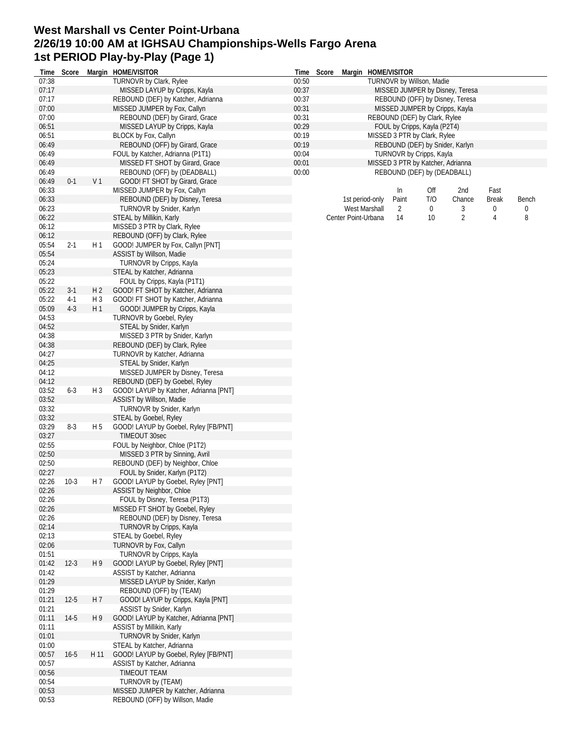## **West Marshall vs Center Point-Urbana 2/26/19 10:00 AM at IGHSAU Championships-Wells Fargo Arena 1st PERIOD Play-by-Play (Page 1)**

| Time           | Score    |                | Margin HOME/VISITOR                    |       | Time Score |                     | Margin HOME/VISITOR |                                   |     |                                 |              |       |
|----------------|----------|----------------|----------------------------------------|-------|------------|---------------------|---------------------|-----------------------------------|-----|---------------------------------|--------------|-------|
| 07:38          |          |                | TURNOVR by Clark, Rylee                | 00:50 |            |                     |                     | TURNOVR by Willson, Madie         |     |                                 |              |       |
| 07:17          |          |                | MISSED LAYUP by Cripps, Kayla          | 00:37 |            |                     |                     |                                   |     | MISSED JUMPER by Disney, Teresa |              |       |
| 07:17          |          |                | REBOUND (DEF) by Katcher, Adrianna     | 00:37 |            |                     |                     |                                   |     | REBOUND (OFF) by Disney, Teresa |              |       |
| 07:00          |          |                | MISSED JUMPER by Fox, Callyn           | 00:31 |            |                     |                     | MISSED JUMPER by Cripps, Kayla    |     |                                 |              |       |
| 07:00          |          |                | REBOUND (DEF) by Girard, Grace         | 00:31 |            |                     |                     | REBOUND (DEF) by Clark, Rylee     |     |                                 |              |       |
| 06:51          |          |                | MISSED LAYUP by Cripps, Kayla          | 00:29 |            |                     |                     | FOUL by Cripps, Kayla (P2T4)      |     |                                 |              |       |
| 06:51          |          |                | BLOCK by Fox, Callyn                   | 00:19 |            |                     |                     | MISSED 3 PTR by Clark, Rylee      |     |                                 |              |       |
| 06:49          |          |                | REBOUND (OFF) by Girard, Grace         | 00:19 |            |                     |                     |                                   |     | REBOUND (DEF) by Snider, Karlyn |              |       |
| 06:49          |          |                | FOUL by Katcher, Adrianna (P1T1)       | 00:04 |            |                     |                     | TURNOVR by Cripps, Kayla          |     |                                 |              |       |
| 06:49          |          |                | MISSED FT SHOT by Girard, Grace        | 00:01 |            |                     |                     | MISSED 3 PTR by Katcher, Adrianna |     |                                 |              |       |
| 06:49          |          |                | REBOUND (OFF) by (DEADBALL)            | 00:00 |            |                     |                     | REBOUND (DEF) by (DEADBALL)       |     |                                 |              |       |
| 06:49          | $0 - 1$  | V <sub>1</sub> | GOOD! FT SHOT by Girard, Grace         |       |            |                     |                     |                                   |     |                                 |              |       |
| 06:33          |          |                | MISSED JUMPER by Fox, Callyn           |       |            |                     |                     | In                                | Off | 2nd                             | Fast         |       |
| 06:33          |          |                | REBOUND (DEF) by Disney, Teresa        |       |            |                     | 1st period-only     | Paint                             | T/O | Chance                          | <b>Break</b> | Bench |
| 06:23          |          |                | TURNOVR by Snider, Karlyn              |       |            |                     | West Marshall       | 2                                 | 0   | 3                               | 0            | 0     |
| 06:22          |          |                | STEAL by Millikin, Karly               |       |            | Center Point-Urbana |                     | 14                                | 10  | $\overline{2}$                  | 4            | 8     |
| 06:12<br>06:12 |          |                | MISSED 3 PTR by Clark, Rylee           |       |            |                     |                     |                                   |     |                                 |              |       |
|                |          |                | REBOUND (OFF) by Clark, Rylee          |       |            |                     |                     |                                   |     |                                 |              |       |
| 05:54<br>05:54 | $2 - 1$  | H <sub>1</sub> | GOOD! JUMPER by Fox, Callyn [PNT]      |       |            |                     |                     |                                   |     |                                 |              |       |
|                |          |                | ASSIST by Willson, Madie               |       |            |                     |                     |                                   |     |                                 |              |       |
| 05:24          |          |                | TURNOVR by Cripps, Kayla               |       |            |                     |                     |                                   |     |                                 |              |       |
| 05:23          |          |                | STEAL by Katcher, Adrianna             |       |            |                     |                     |                                   |     |                                 |              |       |
| 05:22          |          |                | FOUL by Cripps, Kayla (P1T1)           |       |            |                     |                     |                                   |     |                                 |              |       |
| 05:22          | $3-1$    | H <sub>2</sub> | GOOD! FT SHOT by Katcher, Adrianna     |       |            |                     |                     |                                   |     |                                 |              |       |
| 05:22          | $4-1$    | H 3            | GOOD! FT SHOT by Katcher, Adrianna     |       |            |                     |                     |                                   |     |                                 |              |       |
| 05:09          | $4-3$    | H 1            | GOOD! JUMPER by Cripps, Kayla          |       |            |                     |                     |                                   |     |                                 |              |       |
| 04:53          |          |                | <b>TURNOVR by Goebel, Ryley</b>        |       |            |                     |                     |                                   |     |                                 |              |       |
| 04:52          |          |                | STEAL by Snider, Karlyn                |       |            |                     |                     |                                   |     |                                 |              |       |
| 04:38          |          |                | MISSED 3 PTR by Snider, Karlyn         |       |            |                     |                     |                                   |     |                                 |              |       |
| 04:38          |          |                | REBOUND (DEF) by Clark, Rylee          |       |            |                     |                     |                                   |     |                                 |              |       |
| 04:27          |          |                | TURNOVR by Katcher, Adrianna           |       |            |                     |                     |                                   |     |                                 |              |       |
| 04:25          |          |                | STEAL by Snider, Karlyn                |       |            |                     |                     |                                   |     |                                 |              |       |
| 04:12          |          |                | MISSED JUMPER by Disney, Teresa        |       |            |                     |                     |                                   |     |                                 |              |       |
| 04:12          |          |                | REBOUND (DEF) by Goebel, Ryley         |       |            |                     |                     |                                   |     |                                 |              |       |
| 03:52          | $6 - 3$  | $H_3$          | GOOD! LAYUP by Katcher, Adrianna [PNT] |       |            |                     |                     |                                   |     |                                 |              |       |
| 03:52          |          |                | ASSIST by Willson, Madie               |       |            |                     |                     |                                   |     |                                 |              |       |
| 03:32          |          |                | TURNOVR by Snider, Karlyn              |       |            |                     |                     |                                   |     |                                 |              |       |
| 03:32          |          |                | STEAL by Goebel, Ryley                 |       |            |                     |                     |                                   |     |                                 |              |       |
| 03:29          | $8-3$    | H 5            | GOOD! LAYUP by Goebel, Ryley [FB/PNT]  |       |            |                     |                     |                                   |     |                                 |              |       |
| 03:27          |          |                | TIMEOUT 30sec                          |       |            |                     |                     |                                   |     |                                 |              |       |
| 02:55          |          |                | FOUL by Neighbor, Chloe (P1T2)         |       |            |                     |                     |                                   |     |                                 |              |       |
| 02:50          |          |                | MISSED 3 PTR by Sinning, Avril         |       |            |                     |                     |                                   |     |                                 |              |       |
| 02:50          |          |                | REBOUND (DEF) by Neighbor, Chloe       |       |            |                     |                     |                                   |     |                                 |              |       |
| 02:27          |          |                | FOUL by Snider, Karlyn (P1T2)          |       |            |                     |                     |                                   |     |                                 |              |       |
| 02:26          | $10-3$   | H 7            | GOOD! LAYUP by Goebel, Ryley [PNT]     |       |            |                     |                     |                                   |     |                                 |              |       |
| 02:26          |          |                | ASSIST by Neighbor, Chloe              |       |            |                     |                     |                                   |     |                                 |              |       |
| 02:26          |          |                | FOUL by Disney, Teresa (P1T3)          |       |            |                     |                     |                                   |     |                                 |              |       |
| 02:26          |          |                | MISSED FT SHOT by Goebel, Ryley        |       |            |                     |                     |                                   |     |                                 |              |       |
| 02:26          |          |                | REBOUND (DEF) by Disney, Teresa        |       |            |                     |                     |                                   |     |                                 |              |       |
| 02:14          |          |                | TURNOVR by Cripps, Kayla               |       |            |                     |                     |                                   |     |                                 |              |       |
| 02:13          |          |                | STEAL by Goebel, Ryley                 |       |            |                     |                     |                                   |     |                                 |              |       |
| 02:06          |          |                | TURNOVR by Fox, Callyn                 |       |            |                     |                     |                                   |     |                                 |              |       |
| 01:51          |          |                | TURNOVR by Cripps, Kayla               |       |            |                     |                     |                                   |     |                                 |              |       |
| 01:42          | $12-3$   | H <sub>9</sub> | GOOD! LAYUP by Goebel, Ryley [PNT]     |       |            |                     |                     |                                   |     |                                 |              |       |
| 01:42          |          |                | ASSIST by Katcher, Adrianna            |       |            |                     |                     |                                   |     |                                 |              |       |
| 01:29          |          |                | MISSED LAYUP by Snider, Karlyn         |       |            |                     |                     |                                   |     |                                 |              |       |
| 01:29          |          |                | REBOUND (OFF) by (TEAM)                |       |            |                     |                     |                                   |     |                                 |              |       |
| 01:21          | $12-5$   | H 7            | GOOD! LAYUP by Cripps, Kayla [PNT]     |       |            |                     |                     |                                   |     |                                 |              |       |
| 01:21          |          |                | ASSIST by Snider, Karlyn               |       |            |                     |                     |                                   |     |                                 |              |       |
| 01:11          | $14-5$   | H 9            | GOOD! LAYUP by Katcher, Adrianna [PNT] |       |            |                     |                     |                                   |     |                                 |              |       |
| 01:11          |          |                | ASSIST by Millikin, Karly              |       |            |                     |                     |                                   |     |                                 |              |       |
| 01:01          |          |                | TURNOVR by Snider, Karlyn              |       |            |                     |                     |                                   |     |                                 |              |       |
| 01:00          |          |                | STEAL by Katcher, Adrianna             |       |            |                     |                     |                                   |     |                                 |              |       |
| 00:57          | $16 - 5$ | H 11           | GOOD! LAYUP by Goebel, Ryley [FB/PNT]  |       |            |                     |                     |                                   |     |                                 |              |       |
| 00:57          |          |                | ASSIST by Katcher, Adrianna            |       |            |                     |                     |                                   |     |                                 |              |       |
| 00:56          |          |                | TIMEOUT TEAM                           |       |            |                     |                     |                                   |     |                                 |              |       |
| 00:54          |          |                | TURNOVR by (TEAM)                      |       |            |                     |                     |                                   |     |                                 |              |       |
| 00:53          |          |                | MISSED JUMPER by Katcher, Adrianna     |       |            |                     |                     |                                   |     |                                 |              |       |
| 00:53          |          |                | REBOUND (OFF) by Willson, Madie        |       |            |                     |                     |                                   |     |                                 |              |       |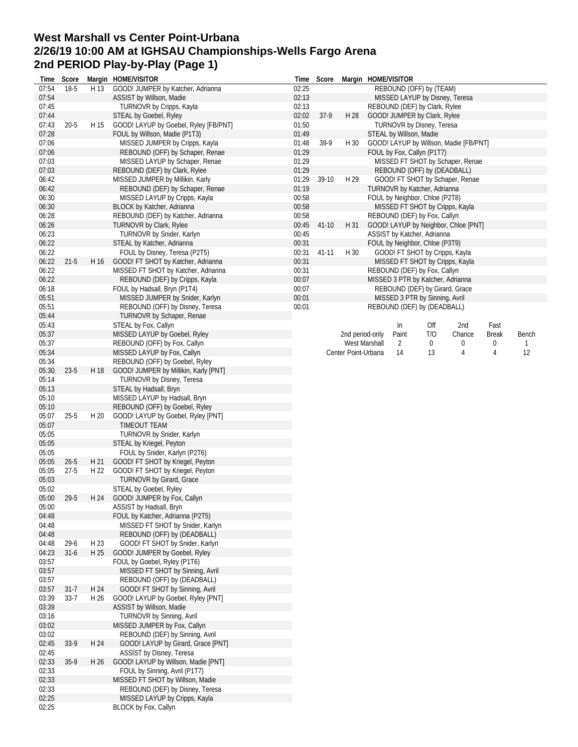## **West Marshall vs Center Point-Urbana 2/26/19 10:00 AM at IGHSAU Championships-Wells Fargo Arena 2nd PERIOD Play-by-Play (Page 1)**

| Time           | Score    |      | Margin HOME/VISITOR                                                  | Time           | Score     |                     | Margin HOME/VISITOR                                             |     |        |              |       |
|----------------|----------|------|----------------------------------------------------------------------|----------------|-----------|---------------------|-----------------------------------------------------------------|-----|--------|--------------|-------|
| 07:54          | $18-5$   | H 13 | GOOD! JUMPER by Katcher, Adrianna                                    | 02:25          |           |                     | REBOUND (OFF) by (TEAM)                                         |     |        |              |       |
| 07:54          |          |      | ASSIST by Willson, Madie                                             | 02:13          |           |                     | MISSED LAYUP by Disney, Teresa                                  |     |        |              |       |
| 07:45          |          |      | TURNOVR by Cripps, Kayla                                             | 02:13          |           |                     | REBOUND (DEF) by Clark, Rylee                                   |     |        |              |       |
| 07:44          |          |      | STEAL by Goebel, Ryley                                               | 02:02          | $37-9$    | H 28                | GOOD! JUMPER by Clark, Rylee                                    |     |        |              |       |
| 07:43          | $20 - 5$ | H 15 | GOOD! LAYUP by Goebel, Ryley [FB/PNT]                                | 01:50          |           |                     | TURNOVR by Disney, Teresa                                       |     |        |              |       |
| 07:28          |          |      | FOUL by Willson, Madie (P1T3)                                        | 01:49          |           |                     | STEAL by Willson, Madie                                         |     |        |              |       |
| 07:06          |          |      | MISSED JUMPER by Cripps, Kayla                                       | 01:48          | 39-9      | H 30                | GOOD! LAYUP by Willson, Madie [FB/PNT]                          |     |        |              |       |
| 07:06          |          |      | REBOUND (OFF) by Schaper, Renae                                      | 01:29          |           |                     | FOUL by Fox, Callyn (P1T7)                                      |     |        |              |       |
| 07:03          |          |      | MISSED LAYUP by Schaper, Renae                                       | 01:29          |           |                     | MISSED FT SHOT by Schaper, Renae                                |     |        |              |       |
| 07:03          |          |      | REBOUND (DEF) by Clark, Rylee                                        | 01:29          |           |                     | REBOUND (OFF) by (DEADBALL)                                     |     |        |              |       |
| 06:42          |          |      | MISSED JUMPER by Millikin, Karly                                     | 01:29          | 39-10     | H 29                | GOOD! FT SHOT by Schaper, Renae                                 |     |        |              |       |
| 06:42          |          |      | REBOUND (DEF) by Schaper, Renae                                      | 01:19          |           |                     | TURNOVR by Katcher, Adrianna                                    |     |        |              |       |
| 06:30<br>06:30 |          |      | MISSED LAYUP by Cripps, Kayla                                        | 00:58          |           |                     | FOUL by Neighbor, Chloe (P2T8)                                  |     |        |              |       |
| 06:28          |          |      | BLOCK by Katcher, Adrianna<br>REBOUND (DEF) by Katcher, Adrianna     | 00:58<br>00:58 |           |                     | MISSED FT SHOT by Cripps, Kayla<br>REBOUND (DEF) by Fox, Callyn |     |        |              |       |
| 06:26          |          |      | <b>TURNOVR by Clark, Rylee</b>                                       | 00:45          | $41 - 10$ | H 31                | GOOD! LAYUP by Neighbor, Chloe [PNT]                            |     |        |              |       |
| 06:23          |          |      | TURNOVR by Snider, Karlyn                                            | 00:45          |           |                     | ASSIST by Katcher, Adrianna                                     |     |        |              |       |
| 06:22          |          |      | STEAL by Katcher, Adrianna                                           | 00:31          |           |                     | FOUL by Neighbor, Chloe (P3T9)                                  |     |        |              |       |
| 06:22          |          |      | FOUL by Disney, Teresa (P2T5)                                        | 00:31          | $41 - 11$ | H 30                | GOOD! FT SHOT by Cripps, Kayla                                  |     |        |              |       |
| 06:22          | $21 - 5$ | H 16 | GOOD! FT SHOT by Katcher, Adrianna                                   | 00:31          |           |                     | MISSED FT SHOT by Cripps, Kayla                                 |     |        |              |       |
| 06:22          |          |      | MISSED FT SHOT by Katcher, Adrianna                                  | 00:31          |           |                     | REBOUND (DEF) by Fox, Callyn                                    |     |        |              |       |
| 06:22          |          |      | REBOUND (DEF) by Cripps, Kayla                                       | 00:07          |           |                     | MISSED 3 PTR by Katcher, Adrianna                               |     |        |              |       |
| 06:18          |          |      | FOUL by Hadsall, Bryn (P1T4)                                         | 00:07          |           |                     | REBOUND (DEF) by Girard, Grace                                  |     |        |              |       |
| 05:51          |          |      | MISSED JUMPER by Snider, Karlyn                                      | 00:01          |           |                     | MISSED 3 PTR by Sinning, Avril                                  |     |        |              |       |
| 05:51          |          |      | REBOUND (OFF) by Disney, Teresa                                      | 00:01          |           |                     | REBOUND (DEF) by (DEADBALL)                                     |     |        |              |       |
| 05:44          |          |      | TURNOVR by Schaper, Renae                                            |                |           |                     |                                                                 |     |        |              |       |
| 05:43          |          |      | STEAL by Fox, Callyn                                                 |                |           |                     | In                                                              | Off | 2nd    | Fast         |       |
| 05:37          |          |      | MISSED LAYUP by Goebel, Ryley                                        |                |           | 2nd period-only     | Paint                                                           | T/O | Chance | <b>Break</b> | Bench |
| 05:37          |          |      | REBOUND (OFF) by Fox, Callyn                                         |                |           |                     | West Marshall<br>2                                              | 0   | 0      | 0            | 1     |
| 05:34          |          |      | MISSED LAYUP by Fox, Callyn                                          |                |           | Center Point-Urbana | 14                                                              | 13  | 4      | 4            | 12    |
| 05:34          |          |      | REBOUND (OFF) by Goebel, Ryley                                       |                |           |                     |                                                                 |     |        |              |       |
| 05:30          | $23-5$   | H 18 | GOOD! JUMPER by Millikin, Karly [PNT]                                |                |           |                     |                                                                 |     |        |              |       |
| 05:14          |          |      | TURNOVR by Disney, Teresa                                            |                |           |                     |                                                                 |     |        |              |       |
| 05:13          |          |      | STEAL by Hadsall, Bryn                                               |                |           |                     |                                                                 |     |        |              |       |
| 05:10          |          |      | MISSED LAYUP by Hadsall, Bryn                                        |                |           |                     |                                                                 |     |        |              |       |
| 05:10          |          |      | REBOUND (OFF) by Goebel, Ryley                                       |                |           |                     |                                                                 |     |        |              |       |
| 05:07          | $25 - 5$ | H 20 | GOOD! LAYUP by Goebel, Ryley [PNT]                                   |                |           |                     |                                                                 |     |        |              |       |
| 05:07          |          |      | TIMEOUT TEAM                                                         |                |           |                     |                                                                 |     |        |              |       |
| 05:05          |          |      | TURNOVR by Snider, Karlyn                                            |                |           |                     |                                                                 |     |        |              |       |
| 05:05          |          |      | STEAL by Kriegel, Peyton                                             |                |           |                     |                                                                 |     |        |              |       |
| 05:05          |          |      | FOUL by Snider, Karlyn (P2T6)                                        |                |           |                     |                                                                 |     |        |              |       |
| 05:05          | $26 - 5$ | H 21 | GOOD! FT SHOT by Kriegel, Peyton                                     |                |           |                     |                                                                 |     |        |              |       |
| 05:05          | $27 - 5$ | H 22 | GOOD! FT SHOT by Kriegel, Peyton                                     |                |           |                     |                                                                 |     |        |              |       |
| 05:03          |          |      | <b>TURNOVR by Girard, Grace</b>                                      |                |           |                     |                                                                 |     |        |              |       |
| 05:02          |          |      | STEAL by Goebel, Ryley                                               |                |           |                     |                                                                 |     |        |              |       |
| 05:00          | 29-5     |      | H 24 GOOD! JUMPER by Fox, Callyn                                     |                |           |                     |                                                                 |     |        |              |       |
| 05:00          |          |      | ASSIST by Hadsall, Bryn                                              |                |           |                     |                                                                 |     |        |              |       |
| 04:48          |          |      | FOUL by Katcher, Adrianna (P2T5)                                     |                |           |                     |                                                                 |     |        |              |       |
| 04:48          |          |      | MISSED FT SHOT by Snider, Karlyn                                     |                |           |                     |                                                                 |     |        |              |       |
| 04:48          |          |      | REBOUND (OFF) by (DEADBALL)                                          |                |           |                     |                                                                 |     |        |              |       |
| 04:48          | $29-6$   | H 23 | GOOD! FT SHOT by Snider, Karlyn                                      |                |           |                     |                                                                 |     |        |              |       |
| 04:23          | $31 - 6$ | H 25 | GOOD! JUMPER by Goebel, Ryley                                        |                |           |                     |                                                                 |     |        |              |       |
| 03:57          |          |      | FOUL by Goebel, Ryley (P1T6)                                         |                |           |                     |                                                                 |     |        |              |       |
| 03:57          |          |      | MISSED FT SHOT by Sinning, Avril                                     |                |           |                     |                                                                 |     |        |              |       |
| 03:57          |          |      | REBOUND (OFF) by (DEADBALL)                                          |                |           |                     |                                                                 |     |        |              |       |
| 03:57          | $31 - 7$ | H 24 | GOOD! FT SHOT by Sinning, Avril                                      |                |           |                     |                                                                 |     |        |              |       |
| 03:39          | $33 - 7$ | H 26 | GOOD! LAYUP by Goebel, Ryley [PNT]                                   |                |           |                     |                                                                 |     |        |              |       |
| 03:39          |          |      | ASSIST by Willson, Madie                                             |                |           |                     |                                                                 |     |        |              |       |
| 03:16          |          |      |                                                                      |                |           |                     |                                                                 |     |        |              |       |
|                |          |      | TURNOVR by Sinning, Avril                                            |                |           |                     |                                                                 |     |        |              |       |
| 03:02          |          |      | MISSED JUMPER by Fox, Callyn                                         |                |           |                     |                                                                 |     |        |              |       |
| 03:02<br>02:45 | $33-9$   | H 24 | REBOUND (DEF) by Sinning, Avril                                      |                |           |                     |                                                                 |     |        |              |       |
|                |          |      | GOOD! LAYUP by Girard, Grace [PNT]                                   |                |           |                     |                                                                 |     |        |              |       |
| 02:45          |          |      | ASSIST by Disney, Teresa                                             |                |           |                     |                                                                 |     |        |              |       |
| 02:33<br>02:33 | $35-9$   | H 26 | GOOD! LAYUP by Willson, Madie [PNT]<br>FOUL by Sinning, Avril (P1T7) |                |           |                     |                                                                 |     |        |              |       |
| 02:33          |          |      |                                                                      |                |           |                     |                                                                 |     |        |              |       |
| 02:33          |          |      | MISSED FT SHOT by Willson, Madie<br>REBOUND (DEF) by Disney, Teresa  |                |           |                     |                                                                 |     |        |              |       |
|                |          |      |                                                                      |                |           |                     |                                                                 |     |        |              |       |
| 02:25          |          |      | MISSED LAYUP by Cripps, Kayla                                        |                |           |                     |                                                                 |     |        |              |       |
| 02:25          |          |      | BLOCK by Fox, Callyn                                                 |                |           |                     |                                                                 |     |        |              |       |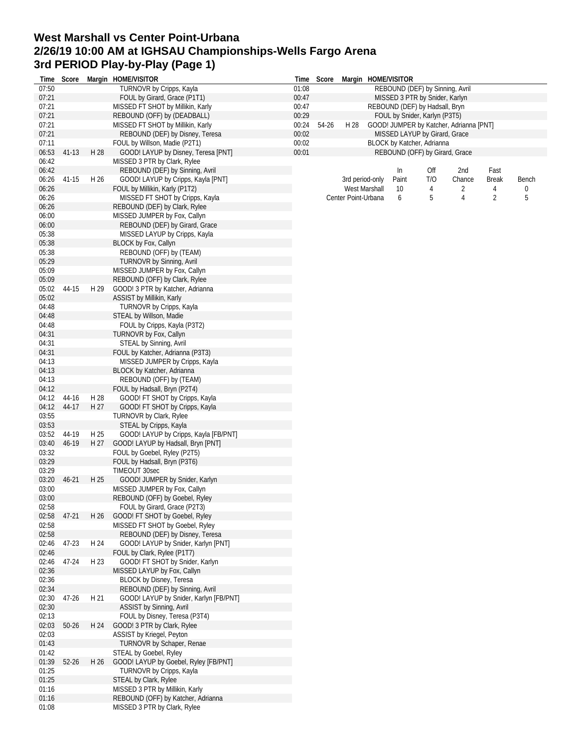## **West Marshall vs Center Point-Urbana 2/26/19 10:00 AM at IGHSAU Championships-Wells Fargo Arena 3rd PERIOD Play-by-Play (Page 1)**

|                | Time Score |      | Margin HOME/VISITOR                                                  |                | Time Score |                     |               | Margin HOME/VISITOR                                          |     |                |                |       |
|----------------|------------|------|----------------------------------------------------------------------|----------------|------------|---------------------|---------------|--------------------------------------------------------------|-----|----------------|----------------|-------|
| 07:50          |            |      | TURNOVR by Cripps, Kayla                                             | 01:08          |            |                     |               | REBOUND (DEF) by Sinning, Avril                              |     |                |                |       |
| 07:21          |            |      | FOUL by Girard, Grace (P1T1)                                         | 00:47          |            |                     |               | MISSED 3 PTR by Snider, Karlyn                               |     |                |                |       |
| 07:21          |            |      | MISSED FT SHOT by Millikin, Karly                                    | 00:47          |            |                     |               | REBOUND (DEF) by Hadsall, Bryn                               |     |                |                |       |
| 07:21          |            |      | REBOUND (OFF) by (DEADBALL)                                          | 00:29          |            |                     |               | FOUL by Snider, Karlyn (P3T5)                                |     |                |                |       |
| 07:21          |            |      | MISSED FT SHOT by Millikin, Karly                                    | 00:24          | 54-26      | H 28                |               | GOOD! JUMPER by Katcher, Adrianna [PNT]                      |     |                |                |       |
| 07:21          |            |      | REBOUND (DEF) by Disney, Teresa                                      | 00:02          |            |                     |               | MISSED LAYUP by Girard, Grace                                |     |                |                |       |
| 07:11<br>06:53 | 41-13      | H 28 | FOUL by Willson, Madie (P2T1)<br>GOOD! LAYUP by Disney, Teresa [PNT] | 00:02<br>00:01 |            |                     |               | BLOCK by Katcher, Adrianna<br>REBOUND (OFF) by Girard, Grace |     |                |                |       |
| 06:42          |            |      | MISSED 3 PTR by Clark, Rylee                                         |                |            |                     |               |                                                              |     |                |                |       |
| 06:42          |            |      | REBOUND (DEF) by Sinning, Avril                                      |                |            |                     |               | In                                                           | Off | 2nd            | Fast           |       |
| 06:26          | $41 - 15$  | H 26 | GOOD! LAYUP by Cripps, Kayla [PNT]                                   |                |            | 3rd period-only     |               | Paint                                                        | T/O | Chance         | <b>Break</b>   | Bench |
| 06:26          |            |      | FOUL by Millikin, Karly (P1T2)                                       |                |            |                     | West Marshall | 10                                                           | 4   | 2              | 4              | 0     |
| 06:26          |            |      | MISSED FT SHOT by Cripps, Kayla                                      |                |            | Center Point-Urbana |               | 6                                                            | 5   | $\overline{4}$ | $\overline{2}$ | 5     |
| 06:26          |            |      | REBOUND (DEF) by Clark, Rylee                                        |                |            |                     |               |                                                              |     |                |                |       |
| 06:00          |            |      | MISSED JUMPER by Fox, Callyn                                         |                |            |                     |               |                                                              |     |                |                |       |
| 06:00          |            |      | REBOUND (DEF) by Girard, Grace                                       |                |            |                     |               |                                                              |     |                |                |       |
| 05:38          |            |      | MISSED LAYUP by Cripps, Kayla                                        |                |            |                     |               |                                                              |     |                |                |       |
| 05:38          |            |      | BLOCK by Fox, Callyn                                                 |                |            |                     |               |                                                              |     |                |                |       |
| 05:38          |            |      | REBOUND (OFF) by (TEAM)                                              |                |            |                     |               |                                                              |     |                |                |       |
| 05:29          |            |      | <b>TURNOVR by Sinning, Avril</b>                                     |                |            |                     |               |                                                              |     |                |                |       |
| 05:09          |            |      | MISSED JUMPER by Fox, Callyn                                         |                |            |                     |               |                                                              |     |                |                |       |
| 05:09          |            |      | REBOUND (OFF) by Clark, Rylee                                        |                |            |                     |               |                                                              |     |                |                |       |
| 05:02          | 44-15      | H 29 | GOOD! 3 PTR by Katcher, Adrianna                                     |                |            |                     |               |                                                              |     |                |                |       |
| 05:02          |            |      | ASSIST by Millikin, Karly                                            |                |            |                     |               |                                                              |     |                |                |       |
| 04:48<br>04:48 |            |      | TURNOVR by Cripps, Kayla<br>STEAL by Willson, Madie                  |                |            |                     |               |                                                              |     |                |                |       |
| 04:48          |            |      | FOUL by Cripps, Kayla (P3T2)                                         |                |            |                     |               |                                                              |     |                |                |       |
| 04:31          |            |      | TURNOVR by Fox, Callyn                                               |                |            |                     |               |                                                              |     |                |                |       |
| 04:31          |            |      | STEAL by Sinning, Avril                                              |                |            |                     |               |                                                              |     |                |                |       |
| 04:31          |            |      | FOUL by Katcher, Adrianna (P3T3)                                     |                |            |                     |               |                                                              |     |                |                |       |
| 04:13          |            |      | MISSED JUMPER by Cripps, Kayla                                       |                |            |                     |               |                                                              |     |                |                |       |
| 04:13          |            |      | BLOCK by Katcher, Adrianna                                           |                |            |                     |               |                                                              |     |                |                |       |
| 04:13          |            |      | REBOUND (OFF) by (TEAM)                                              |                |            |                     |               |                                                              |     |                |                |       |
| 04:12          |            |      | FOUL by Hadsall, Bryn (P2T4)                                         |                |            |                     |               |                                                              |     |                |                |       |
| 04:12          | 44-16      | H 28 | GOOD! FT SHOT by Cripps, Kayla                                       |                |            |                     |               |                                                              |     |                |                |       |
| 04:12          | 44-17      | H 27 | GOOD! FT SHOT by Cripps, Kayla                                       |                |            |                     |               |                                                              |     |                |                |       |
| 03:55          |            |      | TURNOVR by Clark, Rylee                                              |                |            |                     |               |                                                              |     |                |                |       |
| 03:53          |            |      | STEAL by Cripps, Kayla                                               |                |            |                     |               |                                                              |     |                |                |       |
| 03:52          | 44-19      | H 25 | GOOD! LAYUP by Cripps, Kayla [FB/PNT]                                |                |            |                     |               |                                                              |     |                |                |       |
| 03:40          | 46-19      | H 27 | GOOD! LAYUP by Hadsall, Bryn [PNT]                                   |                |            |                     |               |                                                              |     |                |                |       |
| 03:32<br>03:29 |            |      | FOUL by Goebel, Ryley (P2T5)                                         |                |            |                     |               |                                                              |     |                |                |       |
| 03:29          |            |      | FOUL by Hadsall, Bryn (P3T6)<br>TIMEOUT 30sec                        |                |            |                     |               |                                                              |     |                |                |       |
| 03:20          | $46 - 21$  | H 25 | GOOD! JUMPER by Snider, Karlyn                                       |                |            |                     |               |                                                              |     |                |                |       |
| 03:00          |            |      | MISSED JUMPER by Fox, Callyn                                         |                |            |                     |               |                                                              |     |                |                |       |
| 03:00          |            |      | REBOUND (OFF) by Goebel, Ryley                                       |                |            |                     |               |                                                              |     |                |                |       |
| 02:58          |            |      | FOUL by Girard, Grace (P2T3)                                         |                |            |                     |               |                                                              |     |                |                |       |
| 02:58          | $47 - 21$  | H 26 | GOOD! FT SHOT by Goebel, Ryley                                       |                |            |                     |               |                                                              |     |                |                |       |
| 02:58          |            |      | MISSED FT SHOT by Goebel, Ryley                                      |                |            |                     |               |                                                              |     |                |                |       |
| 02:58          |            |      | REBOUND (DEF) by Disney, Teresa                                      |                |            |                     |               |                                                              |     |                |                |       |
| 02:46          | 47-23      | H 24 | GOOD! LAYUP by Snider, Karlyn [PNT]                                  |                |            |                     |               |                                                              |     |                |                |       |
| 02:46          |            |      | FOUL by Clark, Rylee (P1T7)                                          |                |            |                     |               |                                                              |     |                |                |       |
| 02:46          | 47-24      | H 23 | GOOD! FT SHOT by Snider, Karlyn                                      |                |            |                     |               |                                                              |     |                |                |       |
| 02:36          |            |      | MISSED LAYUP by Fox, Callyn                                          |                |            |                     |               |                                                              |     |                |                |       |
| 02:36          |            |      | BLOCK by Disney, Teresa<br>REBOUND (DEF) by Sinning, Avril           |                |            |                     |               |                                                              |     |                |                |       |
| 02:34<br>02:30 | 47-26      | H 21 | GOOD! LAYUP by Snider, Karlyn [FB/PNT]                               |                |            |                     |               |                                                              |     |                |                |       |
| 02:30          |            |      | ASSIST by Sinning, Avril                                             |                |            |                     |               |                                                              |     |                |                |       |
| 02:13          |            |      | FOUL by Disney, Teresa (P3T4)                                        |                |            |                     |               |                                                              |     |                |                |       |
| 02:03          | $50 - 26$  | H 24 | GOOD! 3 PTR by Clark, Rylee                                          |                |            |                     |               |                                                              |     |                |                |       |
| 02:03          |            |      | ASSIST by Kriegel, Peyton                                            |                |            |                     |               |                                                              |     |                |                |       |
| 01:43          |            |      | TURNOVR by Schaper, Renae                                            |                |            |                     |               |                                                              |     |                |                |       |
| 01:42          |            |      | STEAL by Goebel, Ryley                                               |                |            |                     |               |                                                              |     |                |                |       |
| 01:39          | 52-26      | H 26 | GOOD! LAYUP by Goebel, Ryley [FB/PNT]                                |                |            |                     |               |                                                              |     |                |                |       |
| 01:25          |            |      | TURNOVR by Cripps, Kayla                                             |                |            |                     |               |                                                              |     |                |                |       |
| 01:25          |            |      | STEAL by Clark, Rylee                                                |                |            |                     |               |                                                              |     |                |                |       |
| 01:16          |            |      | MISSED 3 PTR by Millikin, Karly                                      |                |            |                     |               |                                                              |     |                |                |       |
| 01:16          |            |      | REBOUND (OFF) by Katcher, Adrianna                                   |                |            |                     |               |                                                              |     |                |                |       |
| 01:08          |            |      | MISSED 3 PTR by Clark, Rylee                                         |                |            |                     |               |                                                              |     |                |                |       |